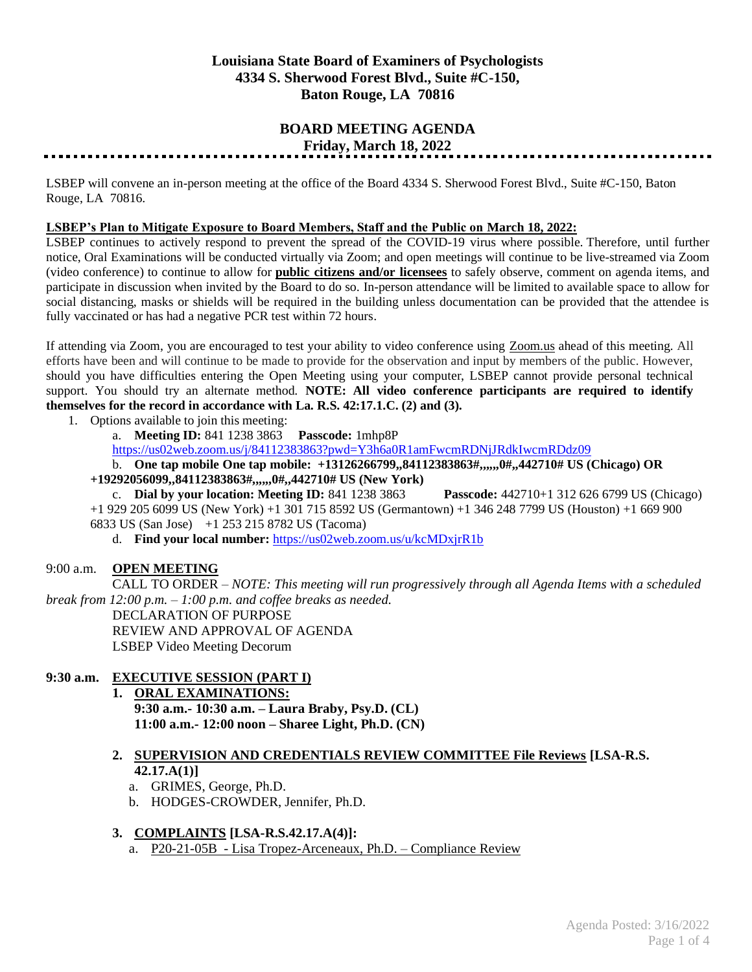# **Louisiana State Board of Examiners of Psychologists 4334 S. Sherwood Forest Blvd., Suite #C-150, Baton Rouge, LA 70816**

# **BOARD MEETING AGENDA Friday, March 18, 2022**

LSBEP will convene an in-person meeting at the office of the Board 4334 S. Sherwood Forest Blvd., Suite #C-150, Baton Rouge, LA 70816.

#### **LSBEP's Plan to Mitigate Exposure to Board Members, Staff and the Public on March 18, 2022:**

LSBEP continues to actively respond to prevent the spread of the COVID-19 virus where possible. Therefore, until further notice, Oral Examinations will be conducted virtually via Zoom; and open meetings will continue to be live-streamed via Zoom (video conference) to continue to allow for **public citizens and/or licensees** to safely observe, comment on agenda items, and participate in discussion when invited by the Board to do so. In-person attendance will be limited to available space to allow for social distancing, masks or shields will be required in the building unless documentation can be provided that the attendee is fully vaccinated or has had a negative PCR test within 72 hours.

If attending via Zoom, you are encouraged to test your ability to video conference using Zoom.us ahead of this meeting. All efforts have been and will continue to be made to provide for the observation and input by members of the public. However, should you have difficulties entering the Open Meeting using your computer, LSBEP cannot provide personal technical support. You should try an alternate method. **NOTE: All video conference participants are required to identify themselves for the record in accordance with La. R.S. 42:17.1.C. (2) and (3).**

- 1. Options available to join this meeting:
	- a. **Meeting ID:** 841 1238 3863 **Passcode:** 1mhp8P

<https://us02web.zoom.us/j/84112383863?pwd=Y3h6a0R1amFwcmRDNjJRdkIwcmRDdz09>

b. **One tap mobile One tap mobile: +13126266799,,84112383863#,,,,,,0#,,442710# US (Chicago) OR** 

**+19292056099,,84112383863#,,,,,,0#,,442710# US (New York)**

c. **Dial by your location: Meeting ID:** 841 1238 3863 **Passcode:** 442710+1 312 626 6799 US (Chicago) +1 929 205 6099 US (New York) +1 301 715 8592 US (Germantown) +1 346 248 7799 US (Houston) +1 669 900 6833 US (San Jose) +1 253 215 8782 US (Tacoma)

d. **Find your local number:** <https://us02web.zoom.us/u/kcMDxjrR1b>

## 9:00 a.m. **OPEN MEETING**

CALL TO ORDER – *NOTE: This meeting will run progressively through all Agenda Items with a scheduled break from 12:00 p.m. – 1:00 p.m. and coffee breaks as needed.* DECLARATION OF PURPOSE REVIEW AND APPROVAL OF AGENDA LSBEP Video Meeting Decorum

## **9:30 a.m. EXECUTIVE SESSION (PART I)**

**1. ORAL EXAMINATIONS: 9:30 a.m.- 10:30 a.m. – Laura Braby, Psy.D. (CL) 11:00 a.m.- 12:00 noon – Sharee Light, Ph.D. (CN)**

# **2. SUPERVISION AND CREDENTIALS REVIEW COMMITTEE File Reviews [LSA-R.S. 42.17.A(1)]**

- a. GRIMES, George, Ph.D.
- b. HODGES-CROWDER, Jennifer, Ph.D.

## **3. COMPLAINTS [LSA-R.S.42.17.A(4)]:**

a. P20-21-05B - Lisa Tropez-Arceneaux, Ph.D. – Compliance Review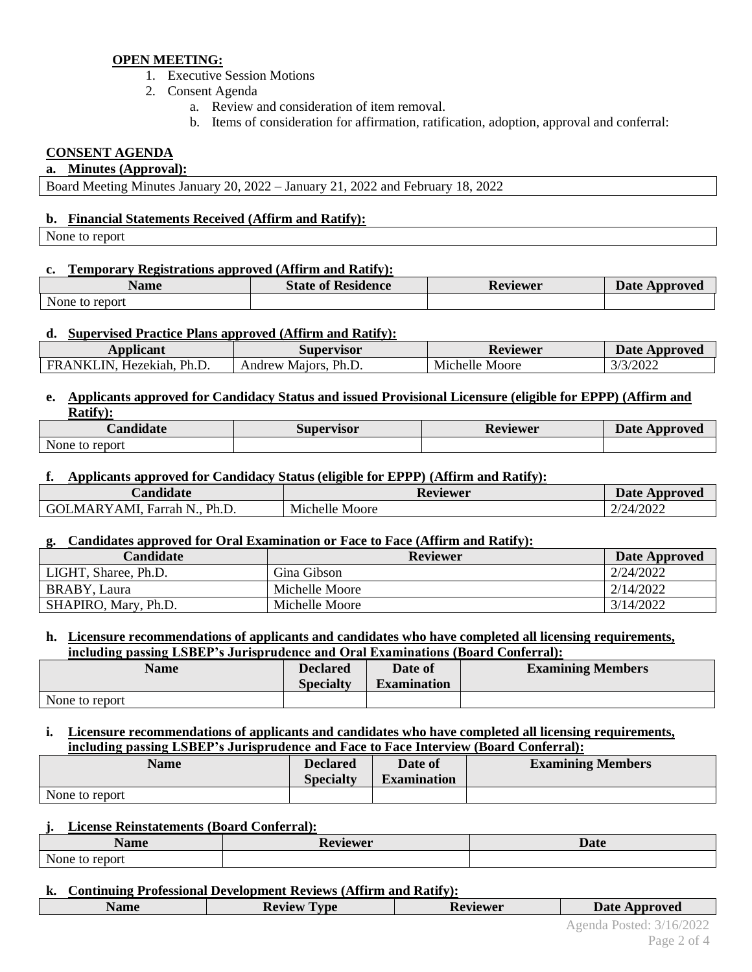# **OPEN MEETING:**

- 1. Executive Session Motions
- 2. Consent Agenda
	- a. Review and consideration of item removal.
	- b. Items of consideration for affirmation, ratification, adoption, approval and conferral:

# **CONSENT AGENDA**

#### **a. Minutes (Approval):**

Board Meeting Minutes January 20, 2022 – January 21, 2022 and February 18, 2022

## **b. Financial Statements Received (Affirm and Ratify):**

None to report

## **c. Temporary Registrations approved (Affirm and Ratify):**

| Name                 | <b>State of</b>        | n.       | <b>Date</b> |
|----------------------|------------------------|----------|-------------|
|                      | <sup>e</sup> Residence | Reviewer | Approved    |
| report<br>None<br>t0 |                        |          |             |

#### **d. Supervised Practice Plans approved (Affirm and Ratify):**

| Applicant                         | <b>Supervisor</b>          | Reviewer          | <b>Date Approved</b> |
|-----------------------------------|----------------------------|-------------------|----------------------|
| Ph.L<br>FRANK.<br>IN<br>Hezekiah. | Ph.D.<br>Andrew<br>Maiors. | Michelle<br>Moore | /3/2022<br>J/        |

#### **e. Applicants approved for Candidacy Status and issued Provisional Licensure (eligible for EPPP) (Affirm and Ratify):**

| $\cdots$<br><b>Candidate</b> | Supervisor | Reviewer | <b>Date</b><br>Approved |
|------------------------------|------------|----------|-------------------------|
| None<br>to report            |            |          |                         |

#### **f. Applicants approved for Candidacy Status (eligible for EPPP) (Affirm and Ratify):**

| <i>C</i> andidate                | <b>Reviewer</b> | <b>Date Approved</b> |
|----------------------------------|-----------------|----------------------|
| GOLMARYAMI, Farrah N., J<br>Ph.D | Michelle Moore  | 2/24/2022            |

## **g. Candidates approved for Oral Examination or Face to Face (Affirm and Ratify):**

| Candidate            | Reviewer       | Date Approved |
|----------------------|----------------|---------------|
| LIGHT, Sharee, Ph.D. | Gina Gibson    | 2/24/2022     |
| BRABY, Laura         | Michelle Moore | 2/14/2022     |
| SHAPIRO, Mary, Ph.D. | Michelle Moore | 3/14/2022     |

#### **h. Licensure recommendations of applicants and candidates who have completed all licensing requirements, including passing LSBEP's Jurisprudence and Oral Examinations (Board Conferral):**

| Name           | <b>Declared</b>  | Date of            | <b>Examining Members</b> |
|----------------|------------------|--------------------|--------------------------|
|                | <b>Specialty</b> | <b>Examination</b> |                          |
| None to report |                  |                    |                          |

# **i. Licensure recommendations of applicants and candidates who have completed all licensing requirements, including passing LSBEP's Jurisprudence and Face to Face Interview (Board Conferral):**

| <b>Name</b>    | <b>Declared</b><br><b>Specialty</b> | Date of<br><b>Examination</b> | <b>Examining Members</b> |
|----------------|-------------------------------------|-------------------------------|--------------------------|
| None to report |                                     |                               |                          |

## **j. License Reinstatements (Board Conferral):**

| $\blacksquare$<br>Name                  | ∽<br>Reviewer | Date |
|-----------------------------------------|---------------|------|
| $\sim$ $\sim$<br>None<br>report<br>- LC |               |      |

# **k. Continuing Professional Development Reviews (Affirm and Ratify):**

**Name Review Type Reviewer Date Date Date Development**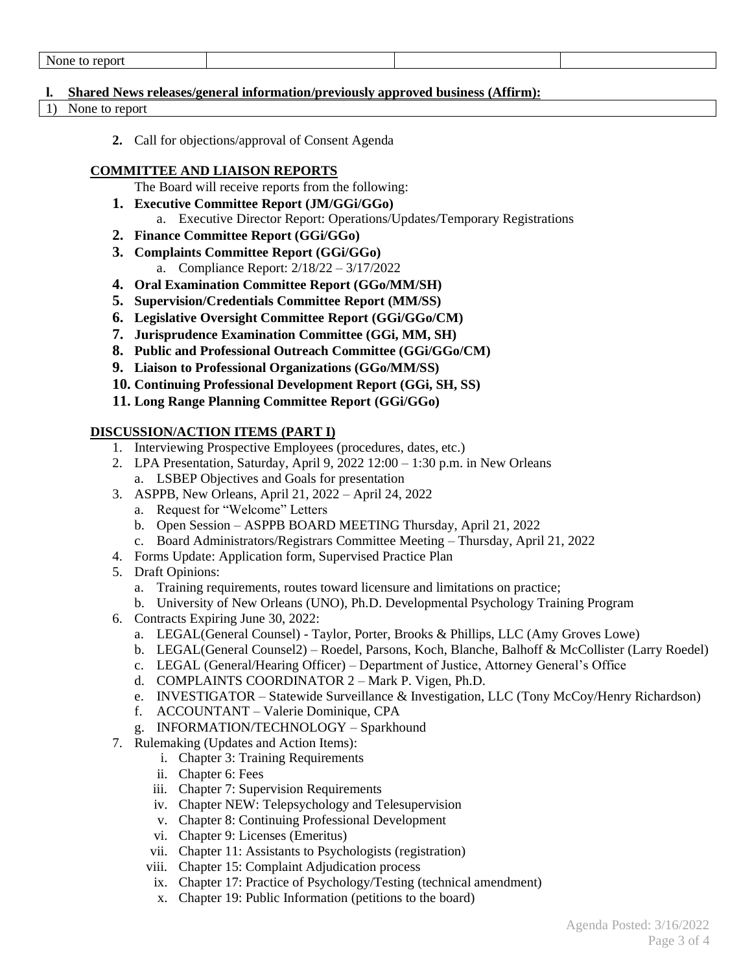| Ωr |  |  |
|----|--|--|
|    |  |  |

#### **l. Shared News releases/general information/previously approved business (Affirm):**

- 1) None to report
	- **2.** Call for objections/approval of Consent Agenda

#### **COMMITTEE AND LIAISON REPORTS**

The Board will receive reports from the following:

- **1. Executive Committee Report (JM/GGi/GGo)** a. Executive Director Report: Operations/Updates/Temporary Registrations
- **2. Finance Committee Report (GGi/GGo)**
- **3. Complaints Committee Report (GGi/GGo)** a. Compliance Report: 2/18/22 – 3/17/2022
- **4. Oral Examination Committee Report (GGo/MM/SH)**
- **5. Supervision/Credentials Committee Report (MM/SS)**
- **6. Legislative Oversight Committee Report (GGi/GGo/CM)**
- **7. Jurisprudence Examination Committee (GGi, MM, SH)**
- **8. Public and Professional Outreach Committee (GGi/GGo/CM)**
- **9. Liaison to Professional Organizations (GGo/MM/SS)**
- **10. Continuing Professional Development Report (GGi, SH, SS)**
- **11. Long Range Planning Committee Report (GGi/GGo)**

# **DISCUSSION/ACTION ITEMS (PART I)**

- 1. Interviewing Prospective Employees (procedures, dates, etc.)
- 2. LPA Presentation, Saturday, April 9,  $202212:00 1:30$  p.m. in New Orleans a. LSBEP Objectives and Goals for presentation
- 3. ASPPB, New Orleans, April 21, 2022 April 24, 2022
	- a. Request for "Welcome" Letters
	- b. Open Session ASPPB BOARD MEETING Thursday, April 21, 2022
	- c. Board Administrators/Registrars Committee Meeting Thursday, April 21, 2022
- 4. Forms Update: Application form, Supervised Practice Plan
- 5. Draft Opinions:
	- a. Training requirements, routes toward licensure and limitations on practice;
	- b. University of New Orleans (UNO), Ph.D. Developmental Psychology Training Program
- 6. Contracts Expiring June 30, 2022:
	- a. LEGAL(General Counsel) Taylor, Porter, Brooks & Phillips, LLC (Amy Groves Lowe)
	- b. LEGAL(General Counsel2) Roedel, Parsons, Koch, Blanche, Balhoff & McCollister (Larry Roedel)
	- c. LEGAL (General/Hearing Officer) Department of Justice, Attorney General's Office
	- d. COMPLAINTS COORDINATOR 2 Mark P. Vigen, Ph.D.
	- e. INVESTIGATOR Statewide Surveillance & Investigation, LLC (Tony McCoy/Henry Richardson)
	- f. ACCOUNTANT Valerie Dominique, CPA
	- g. INFORMATION/TECHNOLOGY Sparkhound
- 7. Rulemaking (Updates and Action Items):
	- i. Chapter 3: Training Requirements
	- ii. Chapter 6: Fees
	- iii. Chapter 7: Supervision Requirements
	- iv. Chapter NEW: Telepsychology and Telesupervision
	- v. Chapter 8: Continuing Professional Development
	- vi. Chapter 9: Licenses (Emeritus)
	- vii. Chapter 11: Assistants to Psychologists (registration)
	- viii. Chapter 15: Complaint Adjudication process
	- ix. Chapter 17: Practice of Psychology/Testing (technical amendment)
	- x. Chapter 19: Public Information (petitions to the board)